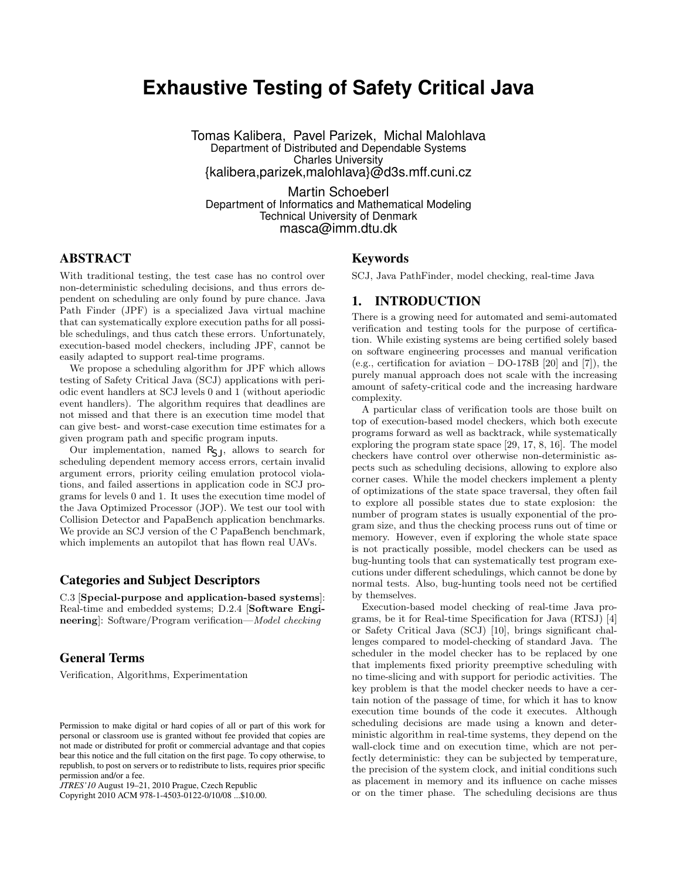# **Exhaustive Testing of Safety Critical Java**

Tomas Kalibera, Pavel Parizek, Michal Malohlava Department of Distributed and Dependable Systems Charles University {kalibera,parizek,malohlava}@d3s.mff.cuni.cz

Martin Schoeberl Department of Informatics and Mathematical Modeling Technical University of Denmark masca@imm.dtu.dk

# ABSTRACT

With traditional testing, the test case has no control over non-deterministic scheduling decisions, and thus errors dependent on scheduling are only found by pure chance. Java Path Finder (JPF) is a specialized Java virtual machine that can systematically explore execution paths for all possible schedulings, and thus catch these errors. Unfortunately, execution-based model checkers, including JPF, cannot be easily adapted to support real-time programs.

We propose a scheduling algorithm for JPF which allows testing of Safety Critical Java (SCJ) applications with periodic event handlers at SCJ levels 0 and 1 (without aperiodic event handlers). The algorithm requires that deadlines are not missed and that there is an execution time model that can give best- and worst-case execution time estimates for a given program path and specific program inputs.

Our implementation, named  $R_{SJ}$ , allows to search for scheduling dependent memory access errors, certain invalid argument errors, priority ceiling emulation protocol violations, and failed assertions in application code in SCJ programs for levels 0 and 1. It uses the execution time model of the Java Optimized Processor (JOP). We test our tool with Collision Detector and PapaBench application benchmarks. We provide an SCJ version of the C PapaBench benchmark, which implements an autopilot that has flown real UAVs.

### Categories and Subject Descriptors

C.3 [Special-purpose and application-based systems]: Real-time and embedded systems; D.2.4 [Software Engineering]: Software/Program verification—Model checking

# General Terms

Verification, Algorithms, Experimentation

### Keywords

SCJ, Java PathFinder, model checking, real-time Java

# 1. INTRODUCTION

There is a growing need for automated and semi-automated verification and testing tools for the purpose of certification. While existing systems are being certified solely based on software engineering processes and manual verification (e.g., certification for aviation –  $DO-178B$  [20] and [7]), the purely manual approach does not scale with the increasing amount of safety-critical code and the increasing hardware complexity.

A particular class of verification tools are those built on top of execution-based model checkers, which both execute programs forward as well as backtrack, while systematically exploring the program state space [29, 17, 8, 16]. The model checkers have control over otherwise non-deterministic aspects such as scheduling decisions, allowing to explore also corner cases. While the model checkers implement a plenty of optimizations of the state space traversal, they often fail to explore all possible states due to state explosion: the number of program states is usually exponential of the program size, and thus the checking process runs out of time or memory. However, even if exploring the whole state space is not practically possible, model checkers can be used as bug-hunting tools that can systematically test program executions under different schedulings, which cannot be done by normal tests. Also, bug-hunting tools need not be certified by themselves.

Execution-based model checking of real-time Java programs, be it for Real-time Specification for Java (RTSJ) [4] or Safety Critical Java (SCJ) [10], brings significant challenges compared to model-checking of standard Java. The scheduler in the model checker has to be replaced by one that implements fixed priority preemptive scheduling with no time-slicing and with support for periodic activities. The key problem is that the model checker needs to have a certain notion of the passage of time, for which it has to know execution time bounds of the code it executes. Although scheduling decisions are made using a known and deterministic algorithm in real-time systems, they depend on the wall-clock time and on execution time, which are not perfectly deterministic: they can be subjected by temperature, the precision of the system clock, and initial conditions such as placement in memory and its influence on cache misses or on the timer phase. The scheduling decisions are thus

Permission to make digital or hard copies of all or part of this work for personal or classroom use is granted without fee provided that copies are not made or distributed for profit or commercial advantage and that copies bear this notice and the full citation on the first page. To copy otherwise, to republish, to post on servers or to redistribute to lists, requires prior specific permission and/or a fee.

*JTRES'10* August 19–21, 2010 Prague, Czech Republic

Copyright 2010 ACM 978-1-4503-0122-0/10/08 ...\$10.00.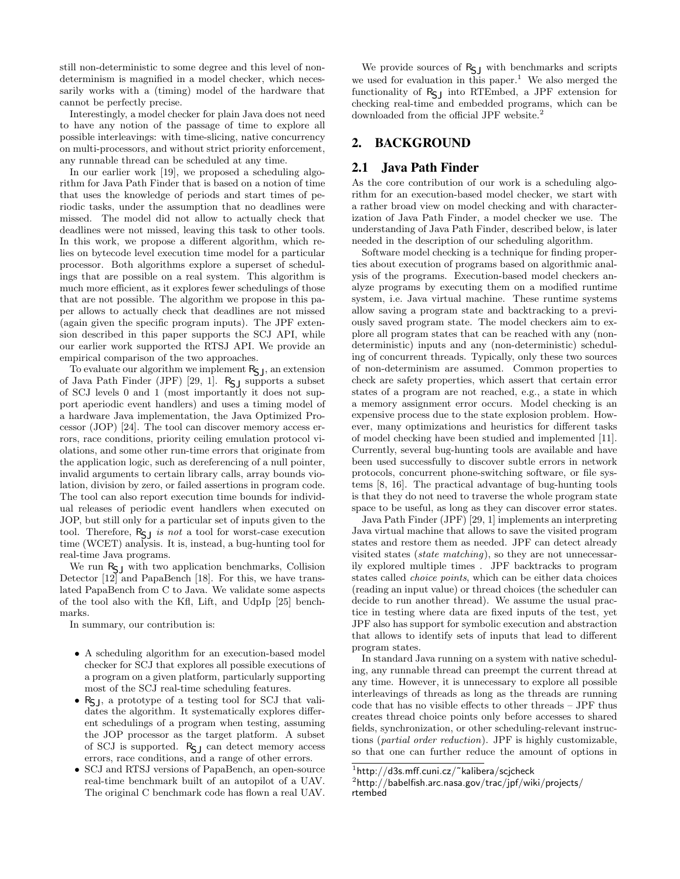still non-deterministic to some degree and this level of nondeterminism is magnified in a model checker, which necessarily works with a (timing) model of the hardware that cannot be perfectly precise.

Interestingly, a model checker for plain Java does not need to have any notion of the passage of time to explore all possible interleavings: with time-slicing, native concurrency on multi-processors, and without strict priority enforcement, any runnable thread can be scheduled at any time.

In our earlier work [19], we proposed a scheduling algorithm for Java Path Finder that is based on a notion of time that uses the knowledge of periods and start times of periodic tasks, under the assumption that no deadlines were missed. The model did not allow to actually check that deadlines were not missed, leaving this task to other tools. In this work, we propose a different algorithm, which relies on bytecode level execution time model for a particular processor. Both algorithms explore a superset of schedulings that are possible on a real system. This algorithm is much more efficient, as it explores fewer schedulings of those that are not possible. The algorithm we propose in this paper allows to actually check that deadlines are not missed (again given the specific program inputs). The JPF extension described in this paper supports the SCJ API, while our earlier work supported the RTSJ API. We provide an empirical comparison of the two approaches.

To evaluate our algorithm we implement  $R_{\text{S},j}$ , an extension of Java Path Finder (JPF) [29, 1].  $R_{\text{SJ}}$  supports a subset of SCJ levels 0 and 1 (most importantly it does not support aperiodic event handlers) and uses a timing model of a hardware Java implementation, the Java Optimized Processor (JOP) [24]. The tool can discover memory access errors, race conditions, priority ceiling emulation protocol violations, and some other run-time errors that originate from the application logic, such as dereferencing of a null pointer, invalid arguments to certain library calls, array bounds violation, division by zero, or failed assertions in program code. The tool can also report execution time bounds for individual releases of periodic event handlers when executed on JOP, but still only for a particular set of inputs given to the tool. Therefore,  $R_{\sf SI}$  is not a tool for worst-case execution time (WCET) analysis. It is, instead, a bug-hunting tool for real-time Java programs.

We run  $R_{\text{S}}$  with two application benchmarks, Collision Detector [12] and PapaBench [18]. For this, we have translated PapaBench from C to Java. We validate some aspects of the tool also with the Kfl, Lift, and UdpIp [25] benchmarks.

In summary, our contribution is:

- A scheduling algorithm for an execution-based model checker for SCJ that explores all possible executions of a program on a given platform, particularly supporting most of the SCJ real-time scheduling features.
- R<sub>S</sub><sub>J</sub>, a prototype of a testing tool for SCJ that validates the algorithm. It systematically explores different schedulings of a program when testing, assuming the JOP processor as the target platform. A subset of SCJ is supported.  $R_{SJ}$  can detect memory access errors, race conditions, and a range of other errors.
- SCJ and RTSJ versions of PapaBench, an open-source real-time benchmark built of an autopilot of a UAV. The original C benchmark code has flown a real UAV.

We provide sources of  $R_{S}$  with benchmarks and scripts we used for evaluation in this paper.<sup>1</sup> We also merged the functionality of RSJ into RTEmbed, a JPF extension for checking real-time and embedded programs, which can be downloaded from the official JPF website.<sup>2</sup>

# 2. BACKGROUND

# 2.1 Java Path Finder

As the core contribution of our work is a scheduling algorithm for an execution-based model checker, we start with a rather broad view on model checking and with characterization of Java Path Finder, a model checker we use. The understanding of Java Path Finder, described below, is later needed in the description of our scheduling algorithm.

Software model checking is a technique for finding properties about execution of programs based on algorithmic analysis of the programs. Execution-based model checkers analyze programs by executing them on a modified runtime system, i.e. Java virtual machine. These runtime systems allow saving a program state and backtracking to a previously saved program state. The model checkers aim to explore all program states that can be reached with any (nondeterministic) inputs and any (non-deterministic) scheduling of concurrent threads. Typically, only these two sources of non-determinism are assumed. Common properties to check are safety properties, which assert that certain error states of a program are not reached, e.g., a state in which a memory assignment error occurs. Model checking is an expensive process due to the state explosion problem. However, many optimizations and heuristics for different tasks of model checking have been studied and implemented [11]. Currently, several bug-hunting tools are available and have been used successfully to discover subtle errors in network protocols, concurrent phone-switching software, or file systems [8, 16]. The practical advantage of bug-hunting tools is that they do not need to traverse the whole program state space to be useful, as long as they can discover error states.

Java Path Finder (JPF) [29, 1] implements an interpreting Java virtual machine that allows to save the visited program states and restore them as needed. JPF can detect already visited states (state matching), so they are not unnecessarily explored multiple times . JPF backtracks to program states called choice points, which can be either data choices (reading an input value) or thread choices (the scheduler can decide to run another thread). We assume the usual practice in testing where data are fixed inputs of the test, yet JPF also has support for symbolic execution and abstraction that allows to identify sets of inputs that lead to different program states.

In standard Java running on a system with native scheduling, any runnable thread can preempt the current thread at any time. However, it is unnecessary to explore all possible interleavings of threads as long as the threads are running code that has no visible effects to other threads – JPF thus creates thread choice points only before accesses to shared fields, synchronization, or other scheduling-relevant instructions (partial order reduction). JPF is highly customizable, so that one can further reduce the amount of options in

 $1$ http://d $3$ s.mff.cuni.cz/~kalibera/scjcheck

 $^{2}$ http: $//$ babelfish.arc.nasa.gov/trac/jpf/wiki/projects/ rtembed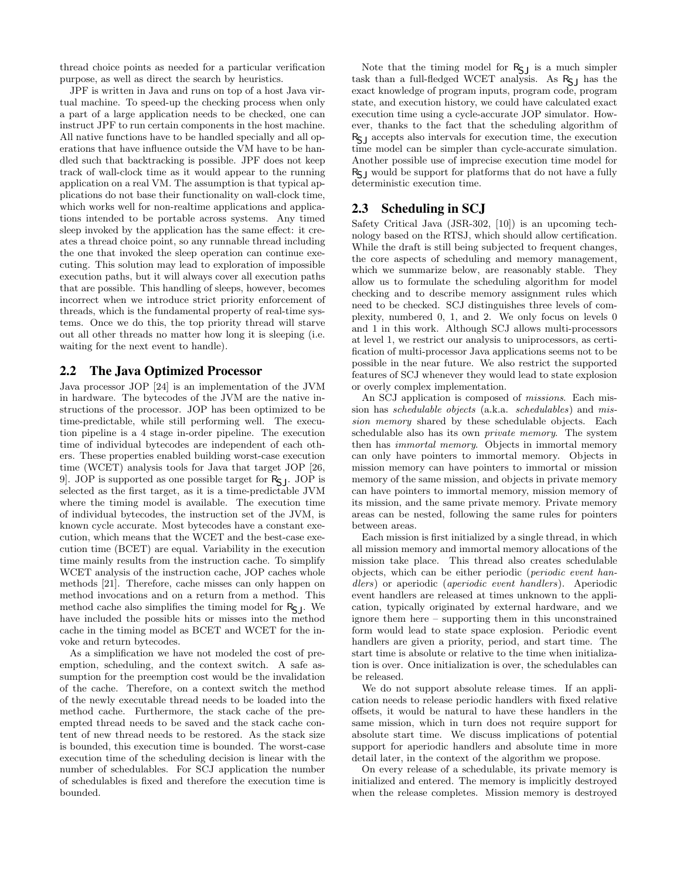thread choice points as needed for a particular verification purpose, as well as direct the search by heuristics.

JPF is written in Java and runs on top of a host Java virtual machine. To speed-up the checking process when only a part of a large application needs to be checked, one can instruct JPF to run certain components in the host machine. All native functions have to be handled specially and all operations that have influence outside the VM have to be handled such that backtracking is possible. JPF does not keep track of wall-clock time as it would appear to the running application on a real VM. The assumption is that typical applications do not base their functionality on wall-clock time, which works well for non-realtime applications and applications intended to be portable across systems. Any timed sleep invoked by the application has the same effect: it creates a thread choice point, so any runnable thread including the one that invoked the sleep operation can continue executing. This solution may lead to exploration of impossible execution paths, but it will always cover all execution paths that are possible. This handling of sleeps, however, becomes incorrect when we introduce strict priority enforcement of threads, which is the fundamental property of real-time systems. Once we do this, the top priority thread will starve out all other threads no matter how long it is sleeping (i.e. waiting for the next event to handle).

### 2.2 The Java Optimized Processor

Java processor JOP [24] is an implementation of the JVM in hardware. The bytecodes of the JVM are the native instructions of the processor. JOP has been optimized to be time-predictable, while still performing well. The execution pipeline is a 4 stage in-order pipeline. The execution time of individual bytecodes are independent of each others. These properties enabled building worst-case execution time (WCET) analysis tools for Java that target JOP [26, 9. JOP is supported as one possible target for  $R_{\sf CL}$ . JOP is selected as the first target, as it is a time-predictable JVM where the timing model is available. The execution time of individual bytecodes, the instruction set of the JVM, is known cycle accurate. Most bytecodes have a constant execution, which means that the WCET and the best-case execution time (BCET) are equal. Variability in the execution time mainly results from the instruction cache. To simplify WCET analysis of the instruction cache, JOP caches whole methods [21]. Therefore, cache misses can only happen on method invocations and on a return from a method. This method cache also simplifies the timing model for  $R_{\sf S}$ <sub>J</sub>. We have included the possible hits or misses into the method cache in the timing model as BCET and WCET for the invoke and return bytecodes.

As a simplification we have not modeled the cost of preemption, scheduling, and the context switch. A safe assumption for the preemption cost would be the invalidation of the cache. Therefore, on a context switch the method of the newly executable thread needs to be loaded into the method cache. Furthermore, the stack cache of the preempted thread needs to be saved and the stack cache content of new thread needs to be restored. As the stack size is bounded, this execution time is bounded. The worst-case execution time of the scheduling decision is linear with the number of schedulables. For SCJ application the number of schedulables is fixed and therefore the execution time is bounded.

Note that the timing model for  $R_{\sf SI}$  is a much simpler task than a full-fledged WCET analysis. As  $R_{SJ}$  has the exact knowledge of program inputs, program code, program state, and execution history, we could have calculated exact execution time using a cycle-accurate JOP simulator. However, thanks to the fact that the scheduling algorithm of  $R_{\sf SI}$  accepts also intervals for execution time, the execution time model can be simpler than cycle-accurate simulation. Another possible use of imprecise execution time model for  $R_{\rm SI}$  would be support for platforms that do not have a fully deterministic execution time.

### 2.3 Scheduling in SCJ

Safety Critical Java (JSR-302, [10]) is an upcoming technology based on the RTSJ, which should allow certification. While the draft is still being subjected to frequent changes, the core aspects of scheduling and memory management, which we summarize below, are reasonably stable. They allow us to formulate the scheduling algorithm for model checking and to describe memory assignment rules which need to be checked. SCJ distinguishes three levels of complexity, numbered 0, 1, and 2. We only focus on levels 0 and 1 in this work. Although SCJ allows multi-processors at level 1, we restrict our analysis to uniprocessors, as certification of multi-processor Java applications seems not to be possible in the near future. We also restrict the supported features of SCJ whenever they would lead to state explosion or overly complex implementation.

An SCJ application is composed of missions. Each mission has schedulable objects (a.k.a. schedulables) and mission memory shared by these schedulable objects. Each schedulable also has its own private memory. The system then has immortal memory. Objects in immortal memory can only have pointers to immortal memory. Objects in mission memory can have pointers to immortal or mission memory of the same mission, and objects in private memory can have pointers to immortal memory, mission memory of its mission, and the same private memory. Private memory areas can be nested, following the same rules for pointers between areas.

Each mission is first initialized by a single thread, in which all mission memory and immortal memory allocations of the mission take place. This thread also creates schedulable objects, which can be either periodic (periodic event handlers) or aperiodic (aperiodic event handlers). Aperiodic event handlers are released at times unknown to the application, typically originated by external hardware, and we ignore them here – supporting them in this unconstrained form would lead to state space explosion. Periodic event handlers are given a priority, period, and start time. The start time is absolute or relative to the time when initialization is over. Once initialization is over, the schedulables can be released.

We do not support absolute release times. If an application needs to release periodic handlers with fixed relative offsets, it would be natural to have these handlers in the same mission, which in turn does not require support for absolute start time. We discuss implications of potential support for aperiodic handlers and absolute time in more detail later, in the context of the algorithm we propose.

On every release of a schedulable, its private memory is initialized and entered. The memory is implicitly destroyed when the release completes. Mission memory is destroyed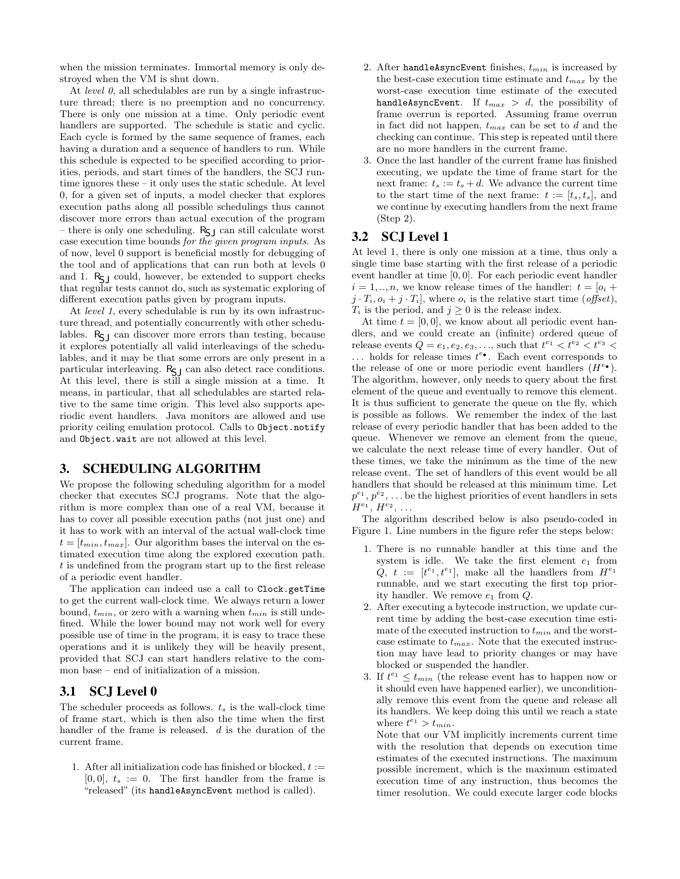when the mission terminates. Immortal memory is only destroyed when the VM is shut down.

At level  $\theta$ , all schedulables are run by a single infrastructure thread; there is no preemption and no concurrency. There is only one mission at a time. Only periodic event handlers are supported. The schedule is static and cyclic. Each cycle is formed by the same sequence of frames, each having a duration and a sequence of handlers to run. While this schedule is expected to be specified according to priorities, periods, and start times of the handlers, the SCJ runtime ignores these – it only uses the static schedule. At level 0, for a given set of inputs, a model checker that explores execution paths along all possible schedulings thus cannot discover more errors than actual execution of the program – there is only one scheduling.  $R_{\zeta}$  can still calculate worst case execution time bounds for the given program inputs. As of now, level 0 support is beneficial mostly for debugging of the tool and of applications that can run both at levels 0 and 1.  $R_{\text{S}}$  could, however, be extended to support checks that regular tests cannot do, such as systematic exploring of different execution paths given by program inputs.

At *level 1*, every schedulable is run by its own infrastructure thread, and potentially concurrently with other schedulables.  $R_{SJ}$  can discover more errors than testing, because it explores potentially all valid interleavings of the schedulables, and it may be that some errors are only present in a particular interleaving.  $\mathsf{R}_{\mathsf{S}\mathsf{J}}$  can also detect race conditions. At this level, there is still a single mission at a time. It means, in particular, that all schedulables are started relative to the same time origin. This level also supports aperiodic event handlers. Java monitors are allowed and use priority ceiling emulation protocol. Calls to Object.notify and Object.wait are not allowed at this level.

### 3. SCHEDULING ALGORITHM

We propose the following scheduling algorithm for a model checker that executes SCJ programs. Note that the algorithm is more complex than one of a real VM, because it has to cover all possible execution paths (not just one) and it has to work with an interval of the actual wall-clock time  $t = [t_{min}, t_{max}]$ . Our algorithm bases the interval on the estimated execution time along the explored execution path. t is undefined from the program start up to the first release of a periodic event handler.

The application can indeed use a call to Clock.getTime to get the current wall-clock time. We always return a lower bound,  $t_{min}$ , or zero with a warning when  $t_{min}$  is still undefined. While the lower bound may not work well for every possible use of time in the program, it is easy to trace these operations and it is unlikely they will be heavily present, provided that SCJ can start handlers relative to the common base – end of initialization of a mission.

# 3.1 SCJ Level 0

The scheduler proceeds as follows.  $t_s$  is the wall-clock time of frame start, which is then also the time when the first handler of the frame is released. d is the duration of the current frame.

1. After all initialization code has finished or blocked,  $t :=$  $[0, 0], t_s := 0.$  The first handler from the frame is "released" (its handleAsyncEvent method is called).

- 2. After handleAsyncEvent finishes,  $t_{min}$  is increased by the best-case execution time estimate and  $t_{max}$  by the worst-case execution time estimate of the executed handleAsyncEvent. If  $t_{max} > d$ , the possibility of frame overrun is reported. Assuming frame overrun in fact did not happen,  $t_{max}$  can be set to d and the checking can continue. This step is repeated until there are no more handlers in the current frame.
- 3. Once the last handler of the current frame has finished executing, we update the time of frame start for the next frame:  $t_s := t_s + d$ . We advance the current time to the start time of the next frame:  $t := [t_s, t_s]$ , and we continue by executing handlers from the next frame (Step 2).

## 3.2 SCJ Level 1

At level 1, there is only one mission at a time, thus only a single time base starting with the first release of a periodic event handler at time [0, 0]. For each periodic event handler  $i = 1, ..., n$ , we know release times of the handler:  $t = [o_i +$  $j \cdot T_i$ ,  $o_i + j \cdot T_i$ , where  $o_i$  is the relative start time (*offset*),  $T_i$  is the period, and  $j \geq 0$  is the release index.

At time  $t = [0, 0]$ , we know about all periodic event handlers, and we could create an (infinite) ordered queue of release events  $Q = e_1, e_2, e_3, \ldots$ , such that  $t^{e_1} < t^{e_2} < t^{e_3} <$  $\ldots$  holds for release times  $t^{e\bullet}$ . Each event corresponds to the release of one or more periodic event handlers  $(H<sup>e</sup>$ . The algorithm, however, only needs to query about the first element of the queue and eventually to remove this element. It is thus sufficient to generate the queue on the fly, which is possible as follows. We remember the index of the last release of every periodic handler that has been added to the queue. Whenever we remove an element from the queue, we calculate the next release time of every handler. Out of these times, we take the minimum as the time of the new release event. The set of handlers of this event would be all handlers that should be released at this minimum time. Let  $p^{e_1}, p^{e_2}, \ldots$  be the highest priorities of event handlers in sets  $H^{e_1}, H^{e_2}, \ldots$ 

The algorithm described below is also pseudo-coded in Figure 1. Line numbers in the figure refer the steps below:

- 1. There is no runnable handler at this time and the system is idle. We take the first element  $e_1$  from  $\check{Q}, t := [t^{e_1}, t^{e_1}],$  make all the handlers from  $H^{e_1}$ runnable, and we start executing the first top priority handler. We remove  $e_1$  from  $Q$ .
- 2. After executing a bytecode instruction, we update current time by adding the best-case execution time estimate of the executed instruction to  $t_{min}$  and the worstcase estimate to  $t_{max}$ . Note that the executed instruction may have lead to priority changes or may have blocked or suspended the handler.
- 3. If  $t^{e_1} \n\t\leq t_{min}$  (the release event has to happen now or it should even have happened earlier), we unconditionally remove this event from the queue and release all its handlers. We keep doing this until we reach a state where  $t^{e_1} > t_{min}$ .

Note that our VM implicitly increments current time with the resolution that depends on execution time estimates of the executed instructions. The maximum possible increment, which is the maximum estimated execution time of any instruction, thus becomes the timer resolution. We could execute larger code blocks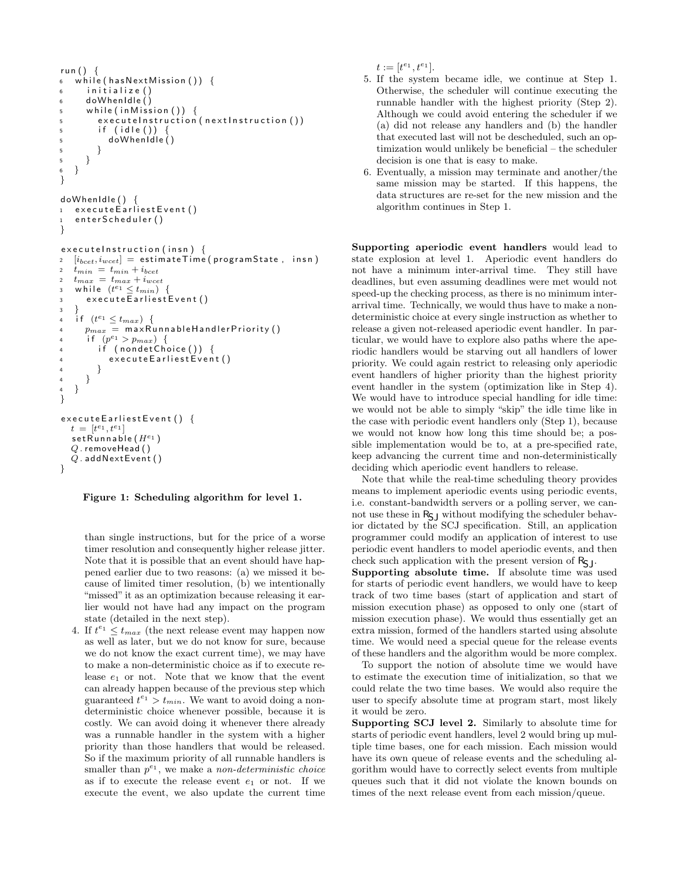```
run() \{6 \text{ while (hasNextMission ())}6 initialize ()
6 do WhenIdle \ddot{()}5 while (in Mission ()) {
5 executeInstruction (nextInstruction ())
\frac{1}{5} if (idle()) {
5 doWhenIdle ( )
5 }
5 }
6 }
}
doWhenIdle ( ) {
1 execute Earliest Event ()
   enter Scheduler ()
}
executel instruction (insn) {
2 \quad [i_{b c e t}, i_{w c e t}] = \textsf{ estimateTime} (\textsf{programState}, \textsf{insn})2 t_{min} = t_{min} + i_{bce}2 t_{max} = t_{max} + i_{wcet}3 while (t^{e_1} \leq t_{min}) {
3 execute Earliest Event ()
\overline{\mathbf{3}}4 if (t^{e_1} \leq t_{max}) {
4 p_{max} = maxRunnableHandlerPriority()
4 if (p^{e_1} > p_{max}) {
\overrightarrow{f} (nondetChoice()) {
           executeEarliestEvent()
4 }
4 }
   \}}
execute Earliest Event () {
  t = [t^{e_1}, t^{e_1}]\mathsf{setRunning}(H^{e_1})Q . removeHead ( )
  Q. add NextEvent()}
```
#### Figure 1: Scheduling algorithm for level 1.

than single instructions, but for the price of a worse timer resolution and consequently higher release jitter. Note that it is possible that an event should have happened earlier due to two reasons: (a) we missed it because of limited timer resolution, (b) we intentionally "missed" it as an optimization because releasing it earlier would not have had any impact on the program state (detailed in the next step).

4. If  $t^{e_1} \leq t_{max}$  (the next release event may happen now as well as later, but we do not know for sure, because we do not know the exact current time), we may have to make a non-deterministic choice as if to execute release  $e_1$  or not. Note that we know that the event can already happen because of the previous step which guaranteed  $t^{e_1} > t_{min}$ . We want to avoid doing a nondeterministic choice whenever possible, because it is costly. We can avoid doing it whenever there already was a runnable handler in the system with a higher priority than those handlers that would be released. So if the maximum priority of all runnable handlers is smaller than  $p^{e_1}$ , we make a non-deterministic choice as if to execute the release event  $e_1$  or not. If we execute the event, we also update the current time

 $t := [t^{e_1}, t^{e_1}].$ 

- 5. If the system became idle, we continue at Step 1. Otherwise, the scheduler will continue executing the runnable handler with the highest priority (Step 2). Although we could avoid entering the scheduler if we (a) did not release any handlers and (b) the handler that executed last will not be descheduled, such an optimization would unlikely be beneficial – the scheduler decision is one that is easy to make.
- 6. Eventually, a mission may terminate and another/the same mission may be started. If this happens, the data structures are re-set for the new mission and the algorithm continues in Step 1.

Supporting aperiodic event handlers would lead to state explosion at level 1. Aperiodic event handlers do not have a minimum inter-arrival time. They still have deadlines, but even assuming deadlines were met would not speed-up the checking process, as there is no minimum interarrival time. Technically, we would thus have to make a nondeterministic choice at every single instruction as whether to release a given not-released aperiodic event handler. In particular, we would have to explore also paths where the aperiodic handlers would be starving out all handlers of lower priority. We could again restrict to releasing only aperiodic event handlers of higher priority than the highest priority event handler in the system (optimization like in Step 4). We would have to introduce special handling for idle time: we would not be able to simply "skip" the idle time like in the case with periodic event handlers only (Step 1), because we would not know how long this time should be; a possible implementation would be to, at a pre-specified rate, keep advancing the current time and non-deterministically deciding which aperiodic event handlers to release.

Note that while the real-time scheduling theory provides means to implement aperiodic events using periodic events, i.e. constant-bandwidth servers or a polling server, we cannot use these in  $R_{\sf SI}$  without modifying the scheduler behavior dictated by the SCJ specification. Still, an application programmer could modify an application of interest to use periodic event handlers to model aperiodic events, and then check such application with the present version of  $R_{\text{S}}$ .

Supporting absolute time. If absolute time was used for starts of periodic event handlers, we would have to keep track of two time bases (start of application and start of mission execution phase) as opposed to only one (start of mission execution phase). We would thus essentially get an extra mission, formed of the handlers started using absolute time. We would need a special queue for the release events of these handlers and the algorithm would be more complex.

To support the notion of absolute time we would have to estimate the execution time of initialization, so that we could relate the two time bases. We would also require the user to specify absolute time at program start, most likely it would be zero.

Supporting SCJ level 2. Similarly to absolute time for starts of periodic event handlers, level 2 would bring up multiple time bases, one for each mission. Each mission would have its own queue of release events and the scheduling algorithm would have to correctly select events from multiple queues such that it did not violate the known bounds on times of the next release event from each mission/queue.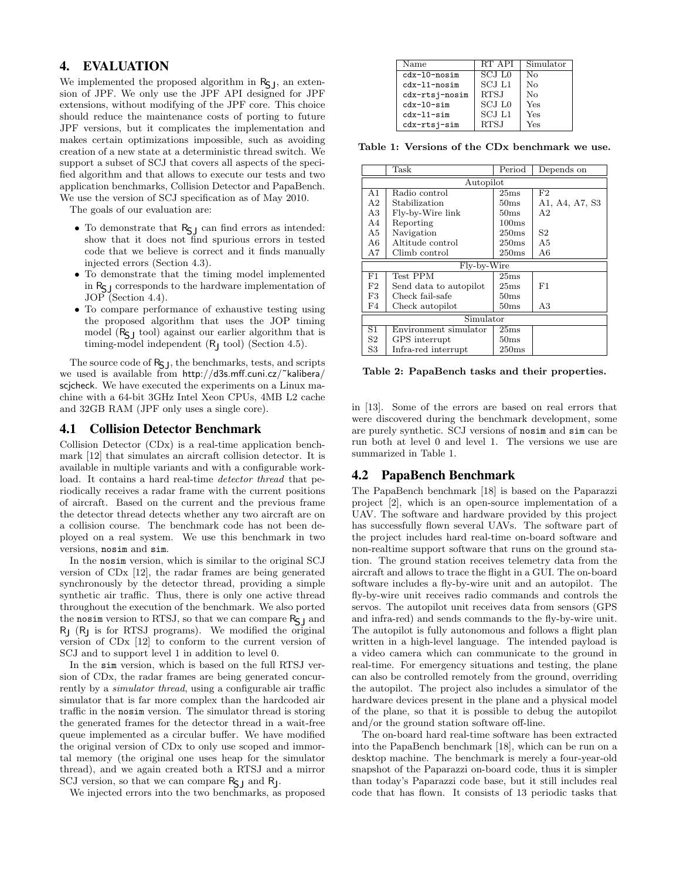# 4. EVALUATION

We implemented the proposed algorithm in  $R_{\text{S},l}$ , an extension of JPF. We only use the JPF API designed for JPF extensions, without modifying of the JPF core. This choice should reduce the maintenance costs of porting to future JPF versions, but it complicates the implementation and makes certain optimizations impossible, such as avoiding creation of a new state at a deterministic thread switch. We support a subset of SCJ that covers all aspects of the specified algorithm and that allows to execute our tests and two application benchmarks, Collision Detector and PapaBench. We use the version of SCJ specification as of May 2010.

The goals of our evaluation are:

- $\bullet$  To demonstrate that  $\mathsf{R}_{\mathsf{S}\mathsf{J}}$  can find errors as intended: show that it does not find spurious errors in tested code that we believe is correct and it finds manually injected errors (Section 4.3).
- To demonstrate that the timing model implemented in RSJ corresponds to the hardware implementation of JOP (Section 4.4).
- To compare performance of exhaustive testing using the proposed algorithm that uses the JOP timing model  $(R_{\sf SI}$  tool) against our earlier algorithm that is timing-model independent (R<sub>J</sub> tool) (Section 4.5).

The source code of  $R_{\sf C}$ , the benchmarks, tests, and scripts we used is available from http://d3s.mff.cuni.cz/˜kalibera/ scjcheck. We have executed the experiments on a Linux machine with a 64-bit 3GHz Intel Xeon CPUs, 4MB L2 cache and 32GB RAM (JPF only uses a single core).

### 4.1 Collision Detector Benchmark

Collision Detector (CDx) is a real-time application benchmark [12] that simulates an aircraft collision detector. It is available in multiple variants and with a configurable workload. It contains a hard real-time *detector thread* that periodically receives a radar frame with the current positions of aircraft. Based on the current and the previous frame the detector thread detects whether any two aircraft are on a collision course. The benchmark code has not been deployed on a real system. We use this benchmark in two versions, nosim and sim.

In the nosim version, which is similar to the original SCJ version of CDx [12], the radar frames are being generated synchronously by the detector thread, providing a simple synthetic air traffic. Thus, there is only one active thread throughout the execution of the benchmark. We also ported the nosim version to RTSJ, so that we can compare  $R_{\sf S}$  and R<sub>J</sub> (R<sub>J</sub> is for RTSJ programs). We modified the original version of CDx [12] to conform to the current version of SCJ and to support level 1 in addition to level 0.

In the sim version, which is based on the full RTSJ version of CDx, the radar frames are being generated concurrently by a simulator thread, using a configurable air traffic simulator that is far more complex than the hardcoded air traffic in the nosim version. The simulator thread is storing the generated frames for the detector thread in a wait-free queue implemented as a circular buffer. We have modified the original version of CDx to only use scoped and immortal memory (the original one uses heap for the simulator thread), and we again created both a RTSJ and a mirror  $SCJ$  version, so that we can compare  $R_{SJ}$  and  $R_J$ .

We injected errors into the two benchmarks, as proposed

| Name           | RT API        | Simulator        |
|----------------|---------------|------------------|
| $cdx-10-nosim$ | SCJ L0        | $\rm N_{\Omega}$ |
| $cdx-11-nosim$ | <b>SCJ L1</b> | $N_{\Omega}$     |
| cdx-rtsj-nosim | <b>RTSJ</b>   | $\rm N_{\Omega}$ |
| $cdx-10-sim$   | SCJ L0        | Yes              |
| $cdx-11-sim$   | SCJ L1        | Yes              |
| cdx-rtsj-sim   | <b>RTSJ</b>   | Yes              |

Table 1: Versions of the CDx benchmark we use.

|                | Task                   | Period            | Depends on     |  |  |  |  |  |
|----------------|------------------------|-------------------|----------------|--|--|--|--|--|
| Autopilot      |                        |                   |                |  |  |  |  |  |
| A1             | Radio control          | 25ms              | F2             |  |  |  |  |  |
| A <sub>2</sub> | Stabilization          | 50 <sub>ms</sub>  | A1, A4, A7, S3 |  |  |  |  |  |
| A3             | Fly-by-Wire link       | 50 <sub>ms</sub>  | A <sub>2</sub> |  |  |  |  |  |
| AA             | Reporting              | 100ms             |                |  |  |  |  |  |
| A5             | Navigation             | 250ms             | S2             |  |  |  |  |  |
| A6             | Altitude control       | 250ms             | A <sub>5</sub> |  |  |  |  |  |
| Α7             | Climb control          | 250 <sub>ms</sub> | A6             |  |  |  |  |  |
|                | Fly-by-Wire            |                   |                |  |  |  |  |  |
| F1             | Test PPM               | 25ms              |                |  |  |  |  |  |
| F2             | Send data to autopilot | 25ms              | F1             |  |  |  |  |  |
| F3             | Check fail-safe        | 50 <sub>ms</sub>  |                |  |  |  |  |  |
| F4             | Check autopilot        | 50 <sub>ms</sub>  | A3             |  |  |  |  |  |
| Simulator      |                        |                   |                |  |  |  |  |  |
| S1.            | Environment simulator  | 25ms              |                |  |  |  |  |  |
| S2             | GPS interrupt          | 50 <sub>ms</sub>  |                |  |  |  |  |  |
| S3             | Infra-red interrupt    | 250ms             |                |  |  |  |  |  |

Table 2: PapaBench tasks and their properties.

in [13]. Some of the errors are based on real errors that were discovered during the benchmark development, some are purely synthetic. SCJ versions of nosim and sim can be run both at level 0 and level 1. The versions we use are summarized in Table 1.

# 4.2 PapaBench Benchmark

The PapaBench benchmark [18] is based on the Paparazzi project [2], which is an open-source implementation of a UAV. The software and hardware provided by this project has successfully flown several UAVs. The software part of the project includes hard real-time on-board software and non-realtime support software that runs on the ground station. The ground station receives telemetry data from the aircraft and allows to trace the flight in a GUI. The on-board software includes a fly-by-wire unit and an autopilot. The fly-by-wire unit receives radio commands and controls the servos. The autopilot unit receives data from sensors (GPS and infra-red) and sends commands to the fly-by-wire unit. The autopilot is fully autonomous and follows a flight plan written in a high-level language. The intended payload is a video camera which can communicate to the ground in real-time. For emergency situations and testing, the plane can also be controlled remotely from the ground, overriding the autopilot. The project also includes a simulator of the hardware devices present in the plane and a physical model of the plane, so that it is possible to debug the autopilot and/or the ground station software off-line.

The on-board hard real-time software has been extracted into the PapaBench benchmark [18], which can be run on a desktop machine. The benchmark is merely a four-year-old snapshot of the Paparazzi on-board code, thus it is simpler than today's Paparazzi code base, but it still includes real code that has flown. It consists of 13 periodic tasks that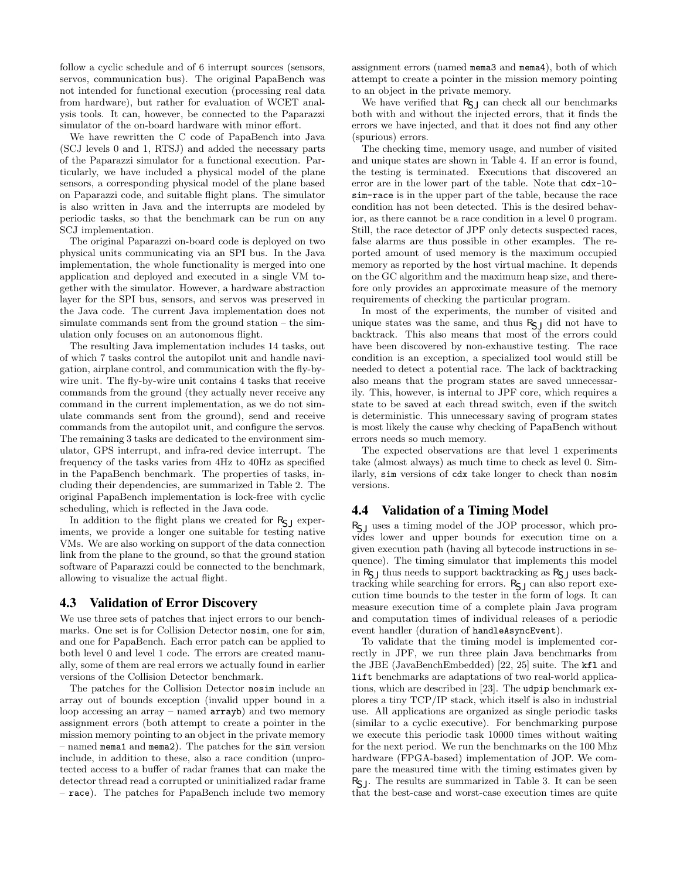follow a cyclic schedule and of 6 interrupt sources (sensors, servos, communication bus). The original PapaBench was not intended for functional execution (processing real data from hardware), but rather for evaluation of WCET analysis tools. It can, however, be connected to the Paparazzi simulator of the on-board hardware with minor effort.

We have rewritten the C code of PapaBench into Java (SCJ levels 0 and 1, RTSJ) and added the necessary parts of the Paparazzi simulator for a functional execution. Particularly, we have included a physical model of the plane sensors, a corresponding physical model of the plane based on Paparazzi code, and suitable flight plans. The simulator is also written in Java and the interrupts are modeled by periodic tasks, so that the benchmark can be run on any SCJ implementation.

The original Paparazzi on-board code is deployed on two physical units communicating via an SPI bus. In the Java implementation, the whole functionality is merged into one application and deployed and executed in a single VM together with the simulator. However, a hardware abstraction layer for the SPI bus, sensors, and servos was preserved in the Java code. The current Java implementation does not simulate commands sent from the ground station – the simulation only focuses on an autonomous flight.

The resulting Java implementation includes 14 tasks, out of which 7 tasks control the autopilot unit and handle navigation, airplane control, and communication with the fly-bywire unit. The fly-by-wire unit contains 4 tasks that receive commands from the ground (they actually never receive any command in the current implementation, as we do not simulate commands sent from the ground), send and receive commands from the autopilot unit, and configure the servos. The remaining 3 tasks are dedicated to the environment simulator, GPS interrupt, and infra-red device interrupt. The frequency of the tasks varies from 4Hz to 40Hz as specified in the PapaBench benchmark. The properties of tasks, including their dependencies, are summarized in Table 2. The original PapaBench implementation is lock-free with cyclic scheduling, which is reflected in the Java code.

In addition to the flight plans we created for  $R_{\sf SI}$  experiments, we provide a longer one suitable for testing native VMs. We are also working on support of the data connection link from the plane to the ground, so that the ground station software of Paparazzi could be connected to the benchmark, allowing to visualize the actual flight.

### 4.3 Validation of Error Discovery

We use three sets of patches that inject errors to our benchmarks. One set is for Collision Detector nosim, one for sim, and one for PapaBench. Each error patch can be applied to both level 0 and level 1 code. The errors are created manually, some of them are real errors we actually found in earlier versions of the Collision Detector benchmark.

The patches for the Collision Detector nosim include an array out of bounds exception (invalid upper bound in a loop accessing an array – named arrayb) and two memory assignment errors (both attempt to create a pointer in the mission memory pointing to an object in the private memory – named mema1 and mema2). The patches for the sim version include, in addition to these, also a race condition (unprotected access to a buffer of radar frames that can make the detector thread read a corrupted or uninitialized radar frame – race). The patches for PapaBench include two memory assignment errors (named mema3 and mema4), both of which attempt to create a pointer in the mission memory pointing to an object in the private memory.

We have verified that  $R_{SJ}$  can check all our benchmarks both with and without the injected errors, that it finds the errors we have injected, and that it does not find any other (spurious) errors.

The checking time, memory usage, and number of visited and unique states are shown in Table 4. If an error is found, the testing is terminated. Executions that discovered an error are in the lower part of the table. Note that cdx-l0 sim-race is in the upper part of the table, because the race condition has not been detected. This is the desired behavior, as there cannot be a race condition in a level 0 program. Still, the race detector of JPF only detects suspected races, false alarms are thus possible in other examples. The reported amount of used memory is the maximum occupied memory as reported by the host virtual machine. It depends on the GC algorithm and the maximum heap size, and therefore only provides an approximate measure of the memory requirements of checking the particular program.

In most of the experiments, the number of visited and unique states was the same, and thus  $R_{SJ}$  did not have to backtrack. This also means that most of the errors could have been discovered by non-exhaustive testing. The race condition is an exception, a specialized tool would still be needed to detect a potential race. The lack of backtracking also means that the program states are saved unnecessarily. This, however, is internal to JPF core, which requires a state to be saved at each thread switch, even if the switch is deterministic. This unnecessary saving of program states is most likely the cause why checking of PapaBench without errors needs so much memory.

The expected observations are that level 1 experiments take (almost always) as much time to check as level 0. Similarly, sim versions of cdx take longer to check than nosim versions.

# 4.4 Validation of a Timing Model

 $R_{\sf SI}$  uses a timing model of the JOP processor, which provides lower and upper bounds for execution time on a given execution path (having all bytecode instructions in sequence). The timing simulator that implements this model in  $R_{S,J}$  thus needs to support backtracking as  $R_{S,J}$  uses backtracking while searching for errors.  $R_{S,J}$  can also report execution time bounds to the tester in the form of logs. It can measure execution time of a complete plain Java program and computation times of individual releases of a periodic event handler (duration of handleAsyncEvent).

To validate that the timing model is implemented correctly in JPF, we run three plain Java benchmarks from the JBE (JavaBenchEmbedded) [22, 25] suite. The kfl and lift benchmarks are adaptations of two real-world applications, which are described in [23]. The udpip benchmark explores a tiny TCP/IP stack, which itself is also in industrial use. All applications are organized as single periodic tasks (similar to a cyclic executive). For benchmarking purpose we execute this periodic task 10000 times without waiting for the next period. We run the benchmarks on the 100 Mhz hardware (FPGA-based) implementation of JOP. We compare the measured time with the timing estimates given by  $R_{\text{S},l}$ . The results are summarized in Table 3. It can be seen that the best-case and worst-case execution times are quite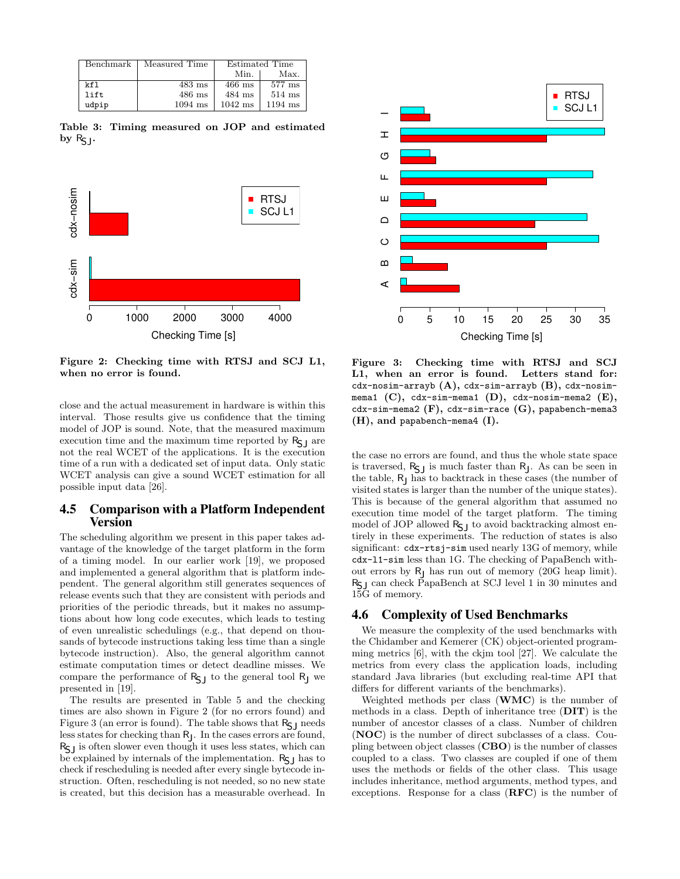| Benchmark | Measured Time | <b>Estimated Time</b> |           |  |
|-----------|---------------|-----------------------|-----------|--|
|           |               | Min.                  | Max.      |  |
| kf1       | $483$ ms      | $466$ ms              | $577$ ms  |  |
| lift      | $486$ ms      | $484$ ms              | $514$ ms  |  |
| udpip     | $1094$ ms     | $1042$ ms             | $1194$ ms |  |

Table 3: Timing measured on JOP and estimated by  $R_{\sf SI}$ .



Figure 2: Checking time with RTSJ and SCJ L1, when no error is found.

close and the actual measurement in hardware is within this interval. Those results give us confidence that the timing model of JOP is sound. Note, that the measured maximum execution time and the maximum time reported by  $R_{\sf SI}$  are not the real WCET of the applications. It is the execution time of a run with a dedicated set of input data. Only static WCET analysis can give a sound WCET estimation for all possible input data [26].

### 4.5 Comparison with a Platform Independent Version

The scheduling algorithm we present in this paper takes advantage of the knowledge of the target platform in the form of a timing model. In our earlier work [19], we proposed and implemented a general algorithm that is platform independent. The general algorithm still generates sequences of release events such that they are consistent with periods and priorities of the periodic threads, but it makes no assumptions about how long code executes, which leads to testing of even unrealistic schedulings (e.g., that depend on thousands of bytecode instructions taking less time than a single bytecode instruction). Also, the general algorithm cannot estimate computation times or detect deadline misses. We compare the performance of  $R_{SJ}$  to the general tool  $R_J$  we presented in [19].

The results are presented in Table 5 and the checking times are also shown in Figure 2 (for no errors found) and Figure 3 (an error is found). The table shows that  $R_{\sf SI}$  needs less states for checking than RJ . In the cases errors are found,  $R_{\scriptstyle\text{S}}$  is often slower even though it uses less states, which can be explained by internals of the implementation.  $R_{\sf S}$ <sub>I</sub> has to check if rescheduling is needed after every single bytecode instruction. Often, rescheduling is not needed, so no new state is created, but this decision has a measurable overhead. In



Figure 3: Checking time with RTSJ and SCJ L1, when an error is found. Letters stand for: cdx-nosim-arrayb  $(A)$ , cdx-sim-arrayb  $(B)$ , cdx-nosimmema1 (C), cdx-sim-mema1 (D), cdx-nosim-mema2  $(E)$ , cdx-sim-mema2  $(F)$ , cdx-sim-race  $(G)$ , papabench-mema3 (H), and papabench-mema4 (I).

the case no errors are found, and thus the whole state space is traversed,  $R_{\text{SJ}}$  is much faster than  $R_{\text{J}}$ . As can be seen in the table, RJ has to backtrack in these cases (the number of visited states is larger than the number of the unique states). This is because of the general algorithm that assumed no execution time model of the target platform. The timing model of JOP allowed  $R_{S,J}$  to avoid backtracking almost entirely in these experiments. The reduction of states is also significant: cdx-rtsj-sim used nearly 13G of memory, while cdx-l1-sim less than 1G. The checking of PapaBench without errors by RJ has run out of memory (20G heap limit). RSJ can check PapaBench at SCJ level 1 in 30 minutes and 15G of memory.

### 4.6 Complexity of Used Benchmarks

We measure the complexity of the used benchmarks with the Chidamber and Kemerer (CK) object-oriented programming metrics [6], with the ckjm tool [27]. We calculate the metrics from every class the application loads, including standard Java libraries (but excluding real-time API that differs for different variants of the benchmarks).

Weighted methods per class  $(WMC)$  is the number of methods in a class. Depth of inheritance tree (DIT) is the number of ancestor classes of a class. Number of children (NOC) is the number of direct subclasses of a class. Coupling between object classes (CBO) is the number of classes coupled to a class. Two classes are coupled if one of them uses the methods or fields of the other class. This usage includes inheritance, method arguments, method types, and exceptions. Response for a class  $(RFC)$  is the number of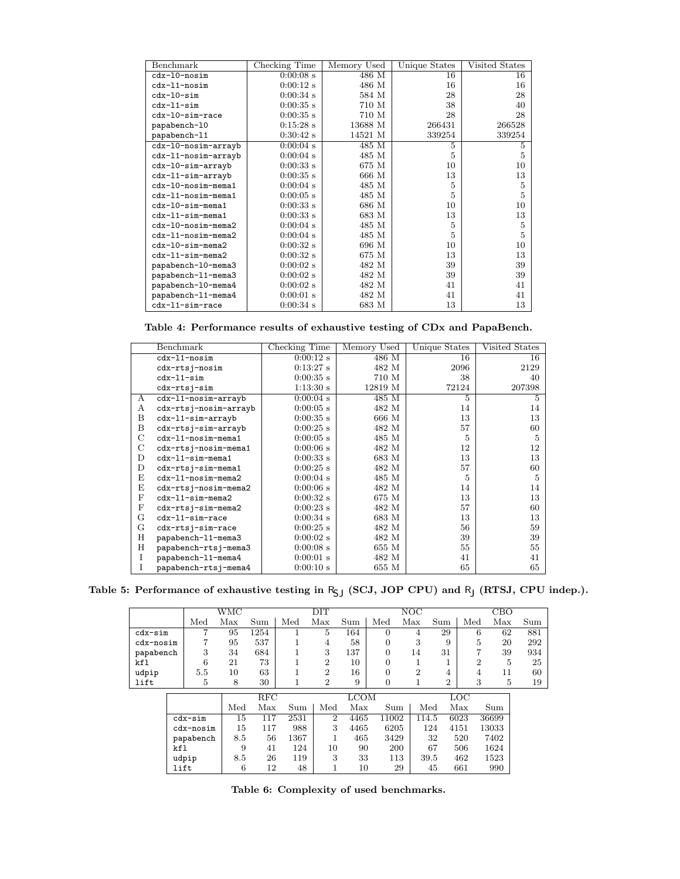| Benchmark            | Checking Time       | Memory Used | Unique States | Visited States |
|----------------------|---------------------|-------------|---------------|----------------|
| cdx-10-nosim         | $0:00:08$ s         | 486 M       | 16            | 16             |
| $cdx-11-nosim$       | $0:00:12$ s         | 486 M       | 16            | 16             |
| $cdx-10-sim$         | $0:00:34$ s         | 584 M       | 28            | 28             |
| $cdx-11-sim$         | $0:00:35$ s         | 710 M       | 38            | 40             |
| cdx-10-sim-race      | $0:00:35$ s         | 710 M       | 28            | 28             |
| papabench-10         | $0:15:28$ s         | 13688 M     | 266431        | 266528         |
| papabench-11         | $0.30.42$ s         | 14521 M     | 339254        | 339254         |
| cdx-10-nosim-arrayb  | $0:00:04$ s         | 485 M       | 5             | 5              |
| cdx-11-nosim-arrayb  | $0:00:04$ s         | 485 M       | 5             | 5              |
| cdx-10-sim-arrayb    | $0:00:33$ s         | 675 M       | 10            | 10             |
| cdx-11-sim-arrayb    | $0:00:35$ s         | 666 M       | 13            | 13             |
| cdx-10-nosim-mema1   | $0:00:04$ s         | 485 M       | 5             | 5              |
| $cdx-11-nosim-mema1$ | $0:00:05$ s         | 485 M       | 5             | 5              |
| cdx-10-sim-mema1     | $0:00:33$ s         | 686 M       | 10            | 10             |
| cdx-11-sim-mema1     | $0:00:33$ s         | 683 M       | 13            | 13             |
| cdx-10-nosim-mema2   | $0:00:04$ s         | 485 M       | 5             | 5              |
| cdx-11-nosim-mema2   | $0:00:04$ s         | 485 M       | 5             | 5              |
| cdx-10-sim-mema2     | $0:00:32 \text{ s}$ | 696 M       | 10            | 10             |
| $cdx-11-sim-mema2$   | $0:00:32$ s         | 675 M       | 13            | 13             |
| papabench-10-mema3   | $0.00.02$ s         | 482 M       | 39            | 39             |
| papabench-11-mema3   | $0:00:02$ s         | 482 M       | 39            | 39             |
| papabench-10-mema4   | $0:00:02$ s         | 482 M       | 41            | 41             |
| papabench-11-mema4   | $0:00:01$ s         | 482 M       | 41            | 41             |
| cdx-11-sim-race      | $0:00:34$ s         | 683 M       | 13            | 13             |

Table 4: Performance results of exhaustive testing of CDx and PapaBench.

|   | Benchmark             | Checking Time       | Memory Used | Unique States | Visited States |
|---|-----------------------|---------------------|-------------|---------------|----------------|
|   | cdx-11-nosim          | $0:00:12 \text{ s}$ | 486 M       | 16            | 16             |
|   | cdx-rtsj-nosim        | 0.13:27s            | 482 M       | 2096          | 2129           |
|   | $cdx-11-sim$          | $0.00:35 \text{ s}$ | 710 M       | 38            | 40             |
|   | cdx-rtsj-sim          | 1:13:30s            | 12819 M     | 72124         | 207398         |
| A | cdx-11-nosim-arrayb   | $0.00:04 \text{ s}$ | 485 M       | 5             | 5              |
| А | cdx-rtsj-nosim-arrayb | $0:00:05$ s         | 482 M       | 14            | 14             |
| B | cdx-11-sim-arrayb     | $0:00:35$ s         | 666 M       | 13            | 13             |
| B | cdx-rtsj-sim-arrayb   | $0.00:25$ s         | 482 M       | 57            | 60             |
| С | cdx-11-nosim-mema1    | $0:00:05$ s         | 485 M       | 5             | 5              |
| C | cdx-rtsj-nosim-mema1  | 0.00:06 s           | 482 M       | 12            | 12             |
| D | $cdx-11-sim-mean1$    | $0:00:33$ s         | 683 M       | 13            | 13             |
| D | $cdx$ -rtsj-sim-mema1 | $0.00:25$ s         | 482 M       | 57            | 60             |
| E | cdx-11-nosim-mema2    | $0.00:04 \text{ s}$ | 485 M       | 5             | 5              |
| E | cdx-rtsj-nosim-mema2  | 0.00:06 s           | 482 M       | 14            | 14             |
| F | $cdx-11-sim-mema2$    | $0.00:32 \text{ s}$ | 675 M       | 13            | 13             |
| F | cdx-rtsj-sim-mema2    | $0.00:23$ s         | 482 M       | 57            | 60             |
| G | cdx-11-sim-race       | $0.00:34 \text{ s}$ | 683 M       | 13            | 13             |
| G | cdx-rtsj-sim-race     | $0.00:25$ s         | 482 M       | 56            | 59             |
| Η | papabench-11-mema3    | $0:00:02$ s         | 482 M       | 39            | 39             |
| H | papabench-rtsj-mema3  | $0:00:08$ s         | 655 M       | 55            | 55             |
| I | papabench-11-mema4    | $0:00:01$ s         | 482 M       | 41            | 41             |
| T | papabench-rtsj-mema4  | 0.00:10 s           | 655 M       | 65            | 65             |

Table 5: Performance of exhaustive testing in  $R_{\sf SJ}$  (SCJ, JOP CPU) and  $R_{\sf J}$  (RTSJ, CPU indep.).

|           |      |           | WMC |      |      | $\overline{\text{DIT}}$ |             |                | NOC            |                |                | CBO   |     |
|-----------|------|-----------|-----|------|------|-------------------------|-------------|----------------|----------------|----------------|----------------|-------|-----|
|           |      | Med       | Max | Sum  | Med  | Max                     | Sum         | Med            | Max            | Sum            | Med            | Max   | Sum |
| cdx-sim   |      | 7         | 95  | 1254 |      | 5                       | 164         | $\theta$       | 4              | 29             | 6              | 62    | 881 |
| cdx-nosim |      | 7         | 95  | 537  | 1    | 4                       | 58          | $\overline{0}$ | 3              | 9              | 5              | 20    | 292 |
| papabench |      | 3         | 34  | 684  |      | 3                       | 137         | $\overline{0}$ | 14             | 31             | 7              | 39    | 934 |
| kfl       |      | 6         | 21  | 73   | T    | $\overline{2}$          | 10          | $\overline{0}$ | 1              |                | $\overline{2}$ | 5     | 25  |
| udpip     |      | 5.5       | 10  | 63   |      | $\overline{2}$          | 16          | $\overline{0}$ | $\overline{2}$ | 4              | 4              | 11    | 60  |
| lift      |      | 5         | 8   | 30   | 1    | $\overline{2}$          | 9           | 0              | 1              | $\overline{2}$ | 3              | 5     | 19  |
|           |      |           |     | RFC  |      |                         | <b>LCOM</b> |                |                |                | LOC            |       |     |
|           |      |           | Med | Max  | Sum  | Med                     | Max         | Sum            |                | Med            | Max            | Sum   |     |
|           |      | $cdx-sim$ | 15  | 117  | 2531 | $\overline{2}$          | 4465        | 11002          |                | 114.5          | 6023           | 36699 |     |
|           |      | cdx-nosim | 15  | 117  | 988  | 3                       | 4465        | 6205           |                | 124            | 4151           | 13033 |     |
|           |      | papabench | 8.5 | 56   | 1367 |                         | 465         | 3429           |                | 32             | 520            | 7402  |     |
|           | kf1  |           | 9   | 41   | 124  | 10                      | 90          | 200            |                | 67             | 506            | 1624  |     |
|           |      | udpip     | 8.5 | 26   | 119  | 3                       | 33          | 113            |                | 39.5           | 462            | 1523  |     |
|           | lift |           | 6   | 12   | 48   |                         | 10          |                | 29             | 45             | 661            | 990   |     |

Table 6: Complexity of used benchmarks.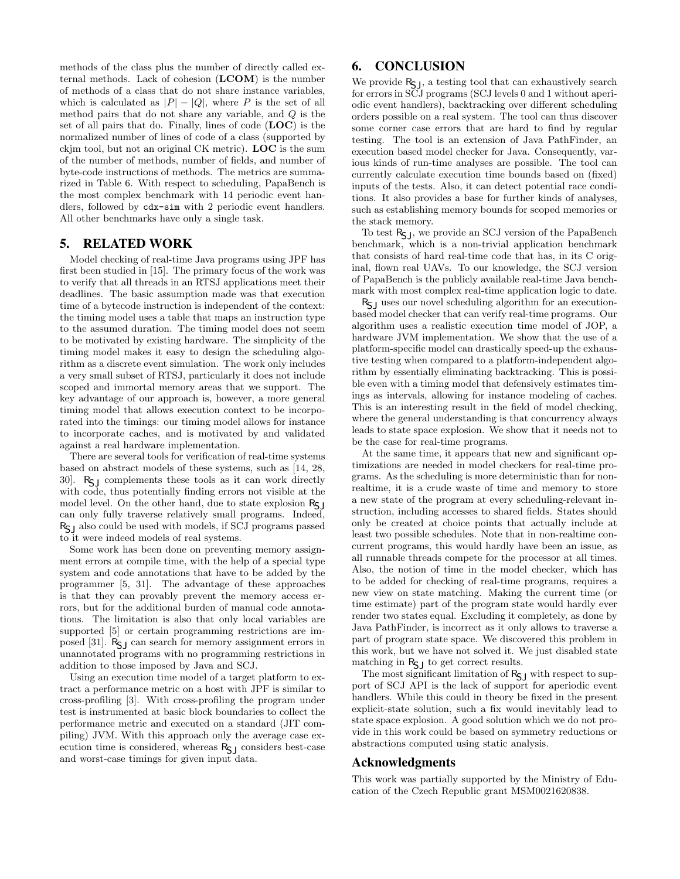methods of the class plus the number of directly called external methods. Lack of cohesion (LCOM) is the number of methods of a class that do not share instance variables, which is calculated as  $|P| - |Q|$ , where P is the set of all method pairs that do not share any variable, and Q is the set of all pairs that do. Finally, lines of code (LOC) is the normalized number of lines of code of a class (supported by ckjm tool, but not an original CK metric). LOC is the sum of the number of methods, number of fields, and number of byte-code instructions of methods. The metrics are summarized in Table 6. With respect to scheduling, PapaBench is the most complex benchmark with 14 periodic event handlers, followed by cdx-sim with 2 periodic event handlers. All other benchmarks have only a single task.

# 5. RELATED WORK

Model checking of real-time Java programs using JPF has first been studied in [15]. The primary focus of the work was to verify that all threads in an RTSJ applications meet their deadlines. The basic assumption made was that execution time of a bytecode instruction is independent of the context: the timing model uses a table that maps an instruction type to the assumed duration. The timing model does not seem to be motivated by existing hardware. The simplicity of the timing model makes it easy to design the scheduling algorithm as a discrete event simulation. The work only includes a very small subset of RTSJ, particularly it does not include scoped and immortal memory areas that we support. The key advantage of our approach is, however, a more general timing model that allows execution context to be incorporated into the timings: our timing model allows for instance to incorporate caches, and is motivated by and validated against a real hardware implementation.

There are several tools for verification of real-time systems based on abstract models of these systems, such as [14, 28, 30].  $R_{\text{S}}$  complements these tools as it can work directly with code, thus potentially finding errors not visible at the model level. On the other hand, due to state explosion  $R_{\sf CI}$ can only fully traverse relatively small programs. Indeed,  $R_{\rm S1}$  also could be used with models, if SCJ programs passed to it were indeed models of real systems.

Some work has been done on preventing memory assignment errors at compile time, with the help of a special type system and code annotations that have to be added by the programmer [5, 31]. The advantage of these approaches is that they can provably prevent the memory access errors, but for the additional burden of manual code annotations. The limitation is also that only local variables are supported [5] or certain programming restrictions are imposed [31].  $R_{\text{S1}}$  can search for memory assignment errors in unannotated programs with no programming restrictions in addition to those imposed by Java and SCJ.

Using an execution time model of a target platform to extract a performance metric on a host with JPF is similar to cross-profiling [3]. With cross-profiling the program under test is instrumented at basic block boundaries to collect the performance metric and executed on a standard (JIT compiling) JVM. With this approach only the average case execution time is considered, whereas  $R_{\sf S}$  considers best-case and worst-case timings for given input data.

## 6. CONCLUSION

We provide  $R_{S,J}$ , a testing tool that can exhaustively search for errors in SCJ programs (SCJ levels 0 and 1 without aperiodic event handlers), backtracking over different scheduling orders possible on a real system. The tool can thus discover some corner case errors that are hard to find by regular testing. The tool is an extension of Java PathFinder, an execution based model checker for Java. Consequently, various kinds of run-time analyses are possible. The tool can currently calculate execution time bounds based on (fixed) inputs of the tests. Also, it can detect potential race conditions. It also provides a base for further kinds of analyses, such as establishing memory bounds for scoped memories or the stack memory.

To test R<sub>S</sub>J, we provide an SCJ version of the PapaBench benchmark, which is a non-trivial application benchmark that consists of hard real-time code that has, in its C original, flown real UAVs. To our knowledge, the SCJ version of PapaBench is the publicly available real-time Java benchmark with most complex real-time application logic to date.

 $R_{\sf S}$ <sub>I</sub> uses our novel scheduling algorithm for an executionbased model checker that can verify real-time programs. Our algorithm uses a realistic execution time model of JOP, a hardware JVM implementation. We show that the use of a platform-specific model can drastically speed-up the exhaustive testing when compared to a platform-independent algorithm by essentially eliminating backtracking. This is possible even with a timing model that defensively estimates timings as intervals, allowing for instance modeling of caches. This is an interesting result in the field of model checking, where the general understanding is that concurrency always leads to state space explosion. We show that it needs not to be the case for real-time programs.

At the same time, it appears that new and significant optimizations are needed in model checkers for real-time programs. As the scheduling is more deterministic than for nonrealtime, it is a crude waste of time and memory to store a new state of the program at every scheduling-relevant instruction, including accesses to shared fields. States should only be created at choice points that actually include at least two possible schedules. Note that in non-realtime concurrent programs, this would hardly have been an issue, as all runnable threads compete for the processor at all times. Also, the notion of time in the model checker, which has to be added for checking of real-time programs, requires a new view on state matching. Making the current time (or time estimate) part of the program state would hardly ever render two states equal. Excluding it completely, as done by Java PathFinder, is incorrect as it only allows to traverse a part of program state space. We discovered this problem in this work, but we have not solved it. We just disabled state matching in  $\mathsf{R}_{\mathsf{S}\mathsf{J}}$  to get correct results.

The most significant limitation of  $R_{\text{SJ}}$  with respect to support of SCJ API is the lack of support for aperiodic event handlers. While this could in theory be fixed in the present explicit-state solution, such a fix would inevitably lead to state space explosion. A good solution which we do not provide in this work could be based on symmetry reductions or abstractions computed using static analysis.

### Acknowledgments

This work was partially supported by the Ministry of Education of the Czech Republic grant MSM0021620838.